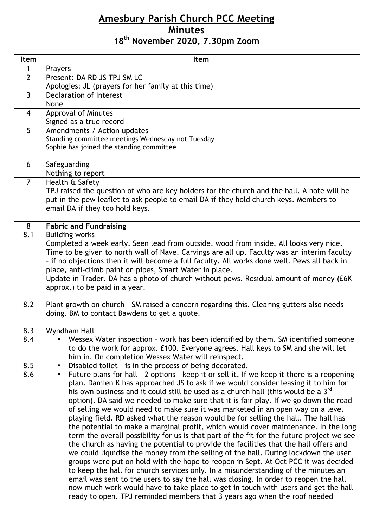## **Amesbury Parish Church PCC Meeting Minutes 18th November 2020, 7.30pm Zoom**

| Item           | Item                                                                                                                                                                                  |
|----------------|---------------------------------------------------------------------------------------------------------------------------------------------------------------------------------------|
| 1              | Prayers                                                                                                                                                                               |
| $\overline{2}$ | Present: DA RD JS TPJ SM LC                                                                                                                                                           |
|                | Apologies: JL (prayers for her family at this time)                                                                                                                                   |
| $\overline{3}$ | Declaration of Interest                                                                                                                                                               |
|                | None                                                                                                                                                                                  |
| $\overline{4}$ | Approval of Minutes                                                                                                                                                                   |
|                | Signed as a true record                                                                                                                                                               |
| 5              | Amendments / Action updates                                                                                                                                                           |
|                | Standing committee meetings Wednesday not Tuesday<br>Sophie has joined the standing committee                                                                                         |
|                |                                                                                                                                                                                       |
| 6              | Safeguarding                                                                                                                                                                          |
|                | Nothing to report                                                                                                                                                                     |
| $\overline{7}$ | Health & Safety                                                                                                                                                                       |
|                | TPJ raised the question of who are key holders for the church and the hall. A note will be                                                                                            |
|                | put in the pew leaflet to ask people to email DA if they hold church keys. Members to                                                                                                 |
|                | email DA if they too hold keys.                                                                                                                                                       |
|                |                                                                                                                                                                                       |
| 8              | <b>Fabric and Fundraising</b>                                                                                                                                                         |
| 8.1            | <b>Building works</b>                                                                                                                                                                 |
|                | Completed a week early. Seen lead from outside, wood from inside. All looks very nice.<br>Time to be given to north wall of Nave. Carvings are all up. Faculty was an interim faculty |
|                | - if no objections then it will become a full faculty. All works done well. Pews all back in                                                                                          |
|                | place, anti-climb paint on pipes, Smart Water in place.                                                                                                                               |
|                | Update in Trader. DA has a photo of church without pews. Residual amount of money (£6K)                                                                                               |
|                | approx.) to be paid in a year.                                                                                                                                                        |
|                |                                                                                                                                                                                       |
| 8.2            | Plant growth on church - SM raised a concern regarding this. Clearing gutters also needs                                                                                              |
|                | doing. BM to contact Bawdens to get a quote.                                                                                                                                          |
|                |                                                                                                                                                                                       |
| 8.3<br>8.4     | Wyndham Hall<br>Wessex Water inspection - work has been identified by them. SM identified someone                                                                                     |
|                | to do the work for approx. £100. Everyone agrees. Hall keys to SM and she will let                                                                                                    |
|                | him in. On completion Wessex Water will reinspect.                                                                                                                                    |
| 8.5            | Disabled toilet - is in the process of being decorated.<br>$\bullet$                                                                                                                  |
| 8.6            | Future plans for hall - 2 options - keep it or sell it. If we keep it there is a reopening<br>$\bullet$                                                                               |
|                | plan. Damien K has approached JS to ask if we would consider leasing it to him for                                                                                                    |
|                | his own business and it could still be used as a church hall (this would be a 3 <sup>rd</sup>                                                                                         |
|                | option). DA said we needed to make sure that it is fair play. If we go down the road                                                                                                  |
|                | of selling we would need to make sure it was marketed in an open way on a level                                                                                                       |
|                | playing field. RD asked what the reason would be for selling the hall. The hall has                                                                                                   |
|                | the potential to make a marginal profit, which would cover maintenance. In the long                                                                                                   |
|                | term the overall possibility for us is that part of the fit for the future project we see<br>the church as having the potential to provide the facilities that the hall offers and    |
|                | we could liquidise the money from the selling of the hall. During lockdown the user                                                                                                   |
|                | groups were put on hold with the hope to reopen in Sept. At Oct PCC it was decided                                                                                                    |
|                | to keep the hall for church services only. In a misunderstanding of the minutes an                                                                                                    |
|                | email was sent to the users to say the hall was closing. In order to reopen the hall                                                                                                  |
|                | now much work would have to take place to get in touch with users and get the hall                                                                                                    |
|                | ready to open. TPJ reminded members that 3 years ago when the roof needed                                                                                                             |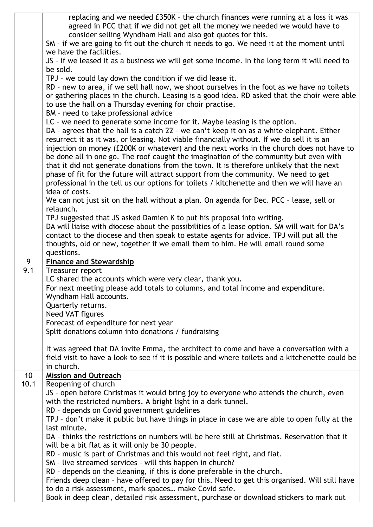|      | replacing and we needed £350K - the church finances were running at a loss it was<br>agreed in PCC that if we did not get all the money we needed we would have to |
|------|--------------------------------------------------------------------------------------------------------------------------------------------------------------------|
|      | consider selling Wyndham Hall and also got quotes for this.                                                                                                        |
|      | SM - if we are going to fit out the church it needs to go. We need it at the moment until                                                                          |
|      | we have the facilities.                                                                                                                                            |
|      | JS - if we leased it as a business we will get some income. In the long term it will need to                                                                       |
|      | be sold.                                                                                                                                                           |
|      | TPJ - we could lay down the condition if we did lease it.                                                                                                          |
|      | RD - new to area, if we sell hall now, we shoot ourselves in the foot as we have no toilets                                                                        |
|      | or gathering places in the church. Leasing is a good idea. RD asked that the choir were able                                                                       |
|      | to use the hall on a Thursday evening for choir practise.                                                                                                          |
|      | BM - need to take professional advice                                                                                                                              |
|      | LC - we need to generate some income for it. Maybe leasing is the option.                                                                                          |
|      | DA - agrees that the hall is a catch 22 - we can't keep it on as a white elephant. Either                                                                          |
|      | resurrect it as it was, or leasing. Not viable financially without. If we do sell it is an                                                                         |
|      | injection on money (£200K or whatever) and the next works in the church does not have to                                                                           |
|      | be done all in one go. The roof caught the imagination of the community but even with                                                                              |
|      | that it did not generate donations from the town. It is therefore unlikely that the next                                                                           |
|      | phase of fit for the future will attract support from the community. We need to get                                                                                |
|      | professional in the tell us our options for toilets / kitchenette and then we will have an<br>idea of costs.                                                       |
|      | We can not just sit on the hall without a plan. On agenda for Dec. PCC - lease, sell or                                                                            |
|      | relaunch.                                                                                                                                                          |
|      | TPJ suggested that JS asked Damien K to put his proposal into writing.                                                                                             |
|      | DA will liaise with diocese about the possibilities of a lease option. SM will wait for DA's                                                                       |
|      | contact to the diocese and then speak to estate agents for advice. TPJ will put all the                                                                            |
|      | thoughts, old or new, together if we email them to him. He will email round some                                                                                   |
|      | questions.                                                                                                                                                         |
|      |                                                                                                                                                                    |
| 9    | <b>Finance and Stewardship</b>                                                                                                                                     |
| 9.1  | Treasurer report                                                                                                                                                   |
|      | LC shared the accounts which were very clear, thank you.                                                                                                           |
|      | For next meeting please add totals to columns, and total income and expenditure.                                                                                   |
|      | Wyndham Hall accounts.                                                                                                                                             |
|      | Quarterly returns.                                                                                                                                                 |
|      | Need VAT figures                                                                                                                                                   |
|      | Forecast of expenditure for next year                                                                                                                              |
|      | Split donations column into donations / fundraising                                                                                                                |
|      | It was agreed that DA invite Emma, the architect to come and have a conversation with a                                                                            |
|      | field visit to have a look to see if it is possible and where toilets and a kitchenette could be                                                                   |
|      | in church.                                                                                                                                                         |
| 10   | <b>Mission and Outreach</b>                                                                                                                                        |
| 10.1 | Reopening of church                                                                                                                                                |
|      | JS - open before Christmas it would bring joy to everyone who attends the church, even                                                                             |
|      | with the restricted numbers. A bright light in a dark tunnel.                                                                                                      |
|      | RD - depends on Covid government guidelines                                                                                                                        |
|      | TPJ - don't make it public but have things in place in case we are able to open fully at the                                                                       |
|      | last minute.                                                                                                                                                       |
|      | DA - thinks the restrictions on numbers will be here still at Christmas. Reservation that it                                                                       |
|      | will be a bit flat as it will only be 30 people.                                                                                                                   |
|      | RD - music is part of Christmas and this would not feel right, and flat.                                                                                           |
|      | SM - live streamed services - will this happen in church?<br>RD - depends on the cleaning, if this is done preferable in the church.                               |
|      | Friends deep clean - have offered to pay for this. Need to get this organised. Will still have                                                                     |
|      | to do a risk assessment, mark spaces make Covid safe.<br>Book in deep clean, detailed risk assessment, purchase or download stickers to mark out                   |